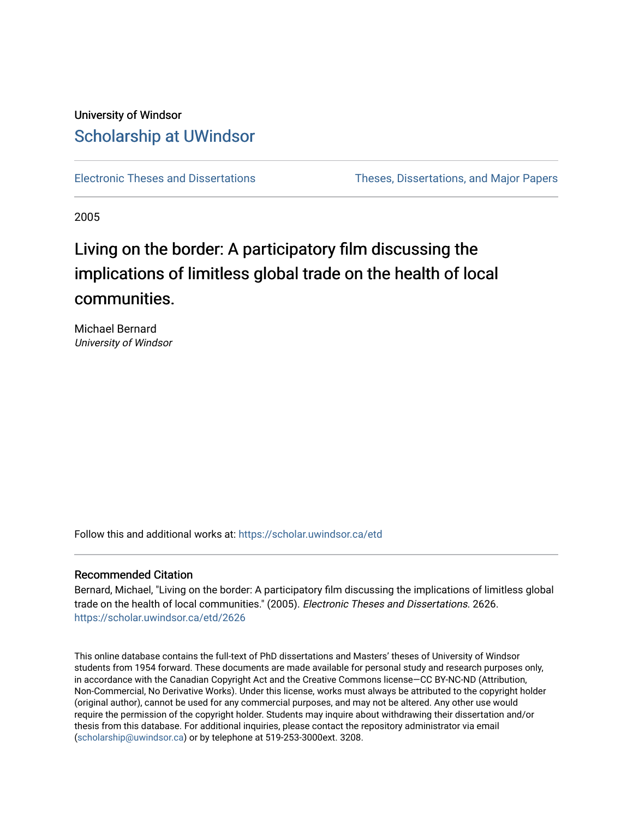## University of Windsor [Scholarship at UWindsor](https://scholar.uwindsor.ca/)

[Electronic Theses and Dissertations](https://scholar.uwindsor.ca/etd) [Theses, Dissertations, and Major Papers](https://scholar.uwindsor.ca/theses-dissertations-major-papers) 

2005

# Living on the border: A participatory film discussing the implications of limitless global trade on the health of local communities.

Michael Bernard University of Windsor

Follow this and additional works at: [https://scholar.uwindsor.ca/etd](https://scholar.uwindsor.ca/etd?utm_source=scholar.uwindsor.ca%2Fetd%2F2626&utm_medium=PDF&utm_campaign=PDFCoverPages) 

### Recommended Citation

Bernard, Michael, "Living on the border: A participatory film discussing the implications of limitless global trade on the health of local communities." (2005). Electronic Theses and Dissertations. 2626. [https://scholar.uwindsor.ca/etd/2626](https://scholar.uwindsor.ca/etd/2626?utm_source=scholar.uwindsor.ca%2Fetd%2F2626&utm_medium=PDF&utm_campaign=PDFCoverPages) 

This online database contains the full-text of PhD dissertations and Masters' theses of University of Windsor students from 1954 forward. These documents are made available for personal study and research purposes only, in accordance with the Canadian Copyright Act and the Creative Commons license—CC BY-NC-ND (Attribution, Non-Commercial, No Derivative Works). Under this license, works must always be attributed to the copyright holder (original author), cannot be used for any commercial purposes, and may not be altered. Any other use would require the permission of the copyright holder. Students may inquire about withdrawing their dissertation and/or thesis from this database. For additional inquiries, please contact the repository administrator via email [\(scholarship@uwindsor.ca\)](mailto:scholarship@uwindsor.ca) or by telephone at 519-253-3000ext. 3208.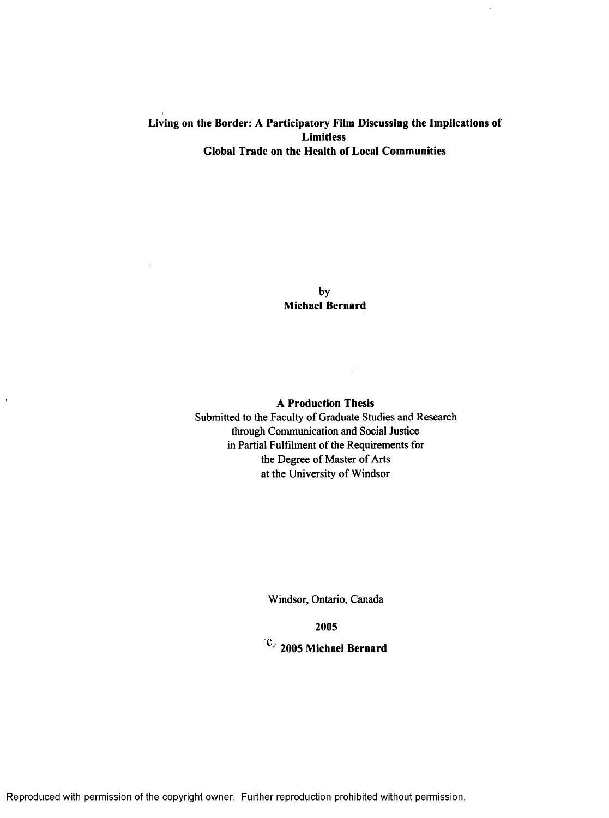### Living on the Border: A Participatory Film Discussing the Implications of Limitless Global Trade on the Health of Local Communities

by Michael Bernard

A Production Thesis

 $\sim 100$ 

Submitted to the Faculty of Graduate Studies and Research through Communication and Social Justice in Partial Fulfilment of the Requirements for the Degree of Master of Arts at the University of Windsor

Windsor, Ontario, Canada

2005

 $\langle \mathbb{C} \rangle$  2005 Michael Bernard

Reproduced with permission of the copyright owner. Further reproduction prohibited without permission.

 $\bar{1}$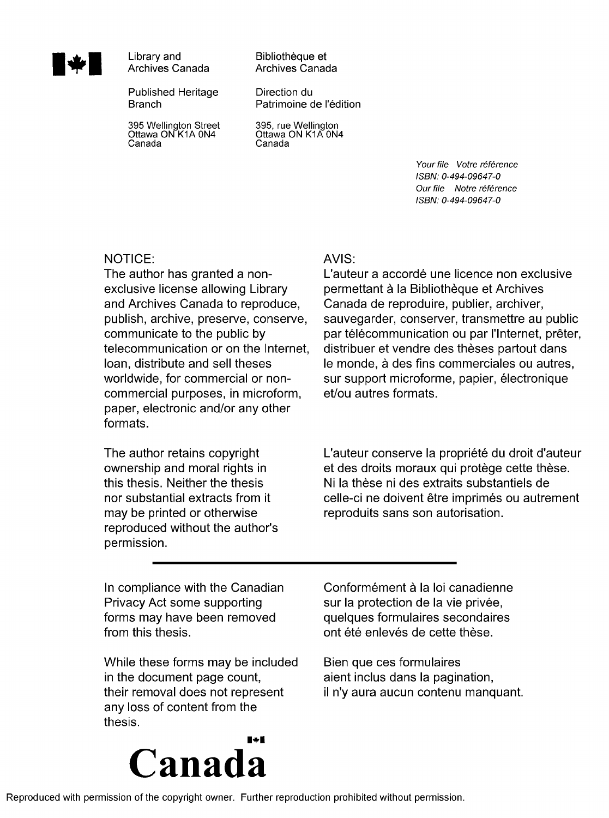

Library and Archives Canada

Published Heritage **Branch** 

395 Wellington Street Ottawa ON K1A 0N4 Canada

Bibliotheque et Archives Canada

Direction du Patrimoine de l'édition

395, rue Wellington Ottawa ON K1A 0N4 Canada

> *Your file Votre reference ISBN: 0-494-09647-0 Our file Notre reference ISBN: 0-494-09647-0*

### NOTICE:

The author has granted a nonexclusive license allowing Library and Archives Canada to reproduce, publish, archive, preserve, conserve, communicate to the public by telecommunication or on the Internet, loan, distribute and sell theses worldwide, for commercial or noncommercial purposes, in microform, paper, electronic and/or any other formats.

The author retains copyright ownership and moral rights in this thesis. Neither the thesis nor substantial extracts from it may be printed or otherwise reproduced without the author's permission.

### AVIS:

L'auteur a accordé une licence non exclusive permettant à la Bibliothèque et Archives Canada de reproduire, publier, archiver, sauvegarder, conserver, transmettre au public par télécommunication ou par l'Internet, prêter, distribuer et vendre des thèses partout dans le monde, a des fins commerciales ou autres, sur support microforme, papier, électronique et/ou autres formats.

L'auteur conserve la propriété du droit d'auteur et des droits moraux qui protège cette thèse. Ni la these ni des extraits substantiels de celle-ci ne doivent être imprimés ou autrement reproduits sans son autorisation.

In compliance with the Canadian Privacy Act some supporting forms may have been removed from this thesis.

While these forms may be included in the document page count, their removal does not represent any loss of content from the thesis.



Bien que ces formulaires aient inclus dans la pagination, il n'y aura aucun contenu manquant.

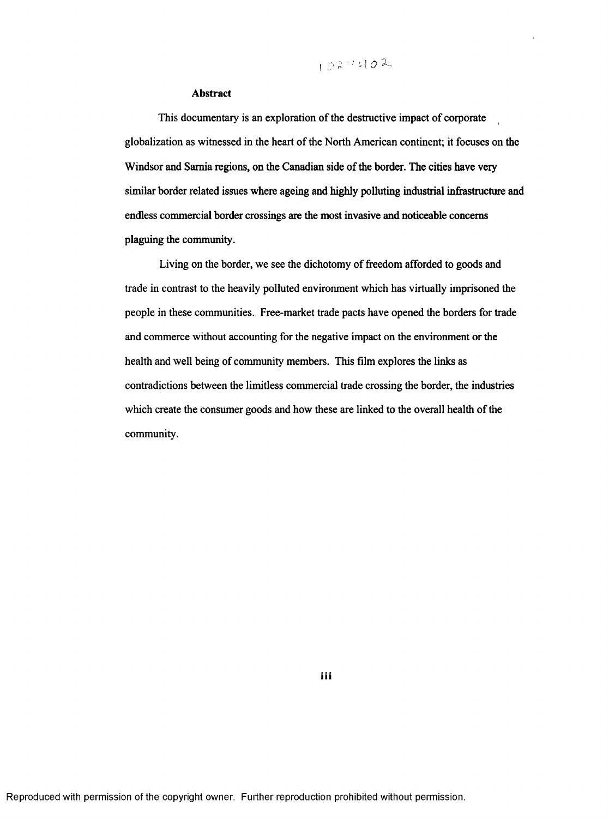# 102-1102

#### **Abstract**

This documentary is an exploration of the destructive impact of corporate globalization as witnessed in the heart of the North American continent; it focuses on the Windsor and Samia regions, on the Canadian side of the border. The cities have very similar border related issues where ageing and highly polluting industrial infrastructure and endless commercial border crossings are the most invasive and noticeable concerns plaguing the community.

Living on the border, we see the dichotomy of freedom afforded to goods and trade in contrast to the heavily polluted environment which has virtually imprisoned the people in these communities. Free-market trade pacts have opened the borders for trade and commerce without accounting for the negative impact on the environment or the health and well being of community members. This film explores the links as contradictions between the limitless commercial trade crossing the border, the industries which create the consumer goods and how these are linked to the overall health of the community.

**iii**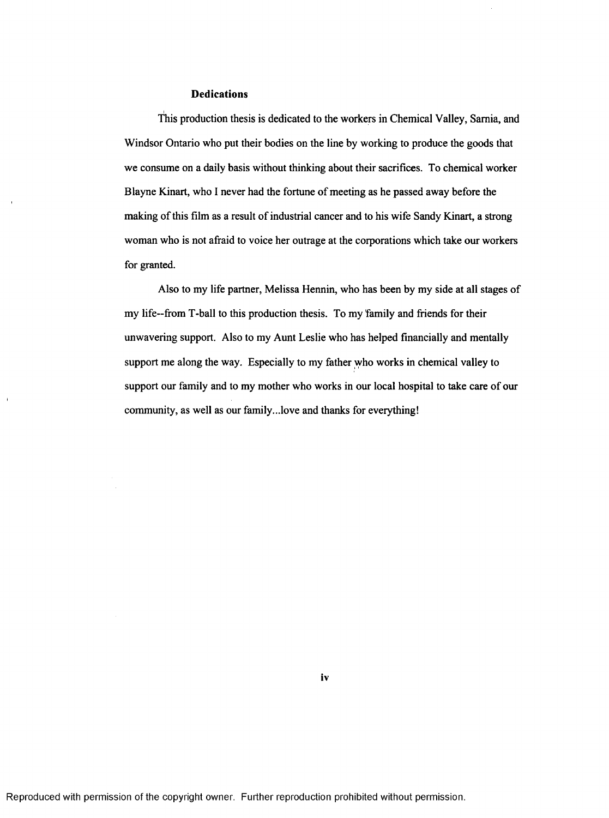### **Dedications**

I This production thesis is dedicated to the workers in Chemical Valley, Sarnia, and Windsor Ontario who put their bodies on the line by working to produce the goods that we consume on a daily basis without thinking about their sacrifices. To chemical worker Blayne Kinart, who 1 never had the fortune of meeting as he passed away before the making of this film as a result of industrial cancer and to his wife Sandy Kinart, a strong woman who is not afraid to voice her outrage at the corporations which take our workers for granted.

Also to my life partner, Melissa Hennin, who has been by my side at all stages of my life—from T-ball to this production thesis. To my family and friends for their unwavering support. Also to my Aunt Leslie who has helped financially and mentally support me along the way. Especially to my father who works in chemical valley to support our family and to my mother who works in our local hospital to take care of our community, as well as our family...love and thanks for everything!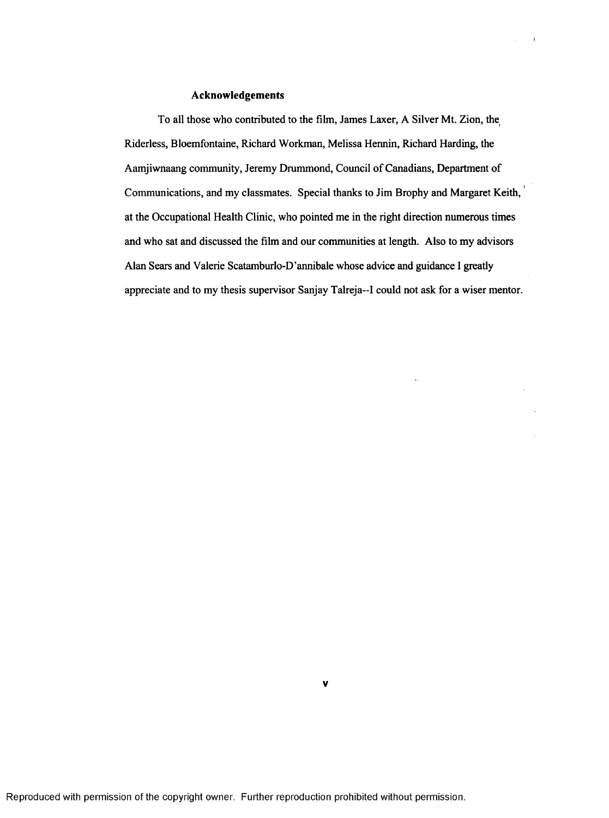### **Acknowledgements**

To all those who contributed to the film, James Laxer, A Silver Mt. Zion, the Riderless, Bloemfontaine, Richard Workman, Melissa Hennin, Richard Harding, the Aamjiwnaang community, Jeremy Drummond, Council of Canadians, Department of Communications, and my classmates. Special thanks to Jim Brophy and Margaret Keith, at the Occupational Health Clinic, who pointed me in the right direction numerous times and who sat and discussed the film and our communities at length. Also to my advisors Alan Sears and Valerie Scatamburlo-D'annibale whose advice and guidance 1 greatly appreciate and to my thesis supervisor Sanjay Talreja—I could not ask for a wiser mentor.

 $\sqrt{1-\lambda}$  . <br> <br> <br> <br> <br> <br> <br> <br> <br> <br> <br>

**v**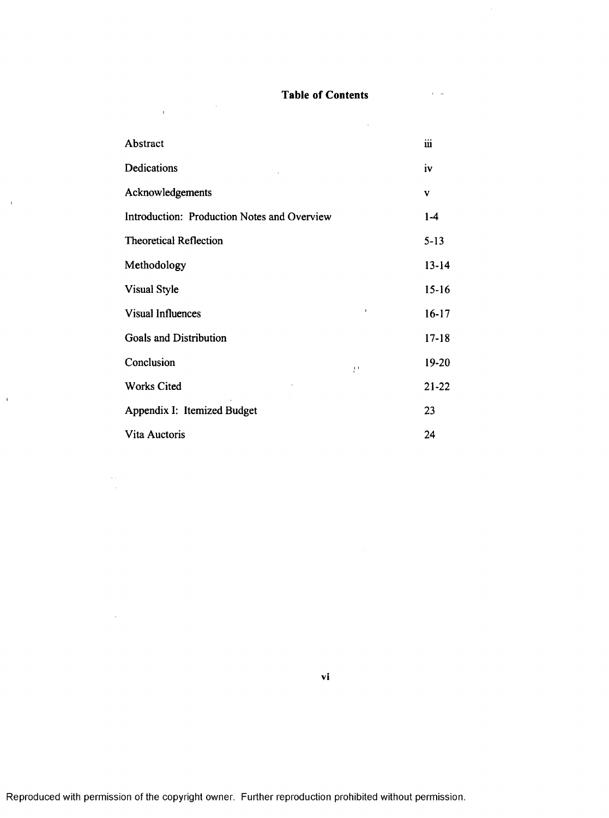### **Table of Contents**

 $\mathcal{L}^{\text{max}}_{\text{max}}$  and  $\mathcal{L}^{\text{max}}_{\text{max}}$ 

| Abstract                                    | iii       |
|---------------------------------------------|-----------|
| Dedications                                 | iv        |
| Acknowledgements                            | V         |
| Introduction: Production Notes and Overview | $1-4$     |
| <b>Theoretical Reflection</b>               | $5 - 13$  |
| Methodology                                 | $13 - 14$ |
| <b>Visual Style</b>                         | $15 - 16$ |
| $\mathbf{I}$<br><b>Visual Influences</b>    | $16-17$   |
| <b>Goals and Distribution</b>               | $17 - 18$ |
| Conclusion<br>$\mathbf{P}^{\mathbf{1}}$     | 19-20     |
| <b>Works Cited</b>                          | $21 - 22$ |
| Appendix I: Itemized Budget                 | 23        |
| Vita Auctoris                               | 24        |

 $\frac{1}{2} \int_{\mathbb{R}^2} \left| \frac{d\mathbf{x}}{d\mathbf{x}} \right|^2 d\mathbf{x}$ 

 $\sim 0^{\circ}$ 

 $\bar{\mathbf{r}}$ 

 $\label{eq:2} \frac{1}{\sqrt{2}}\frac{1}{\sqrt{2}}\frac{d\phi}{d\phi},$ 

 $\sim$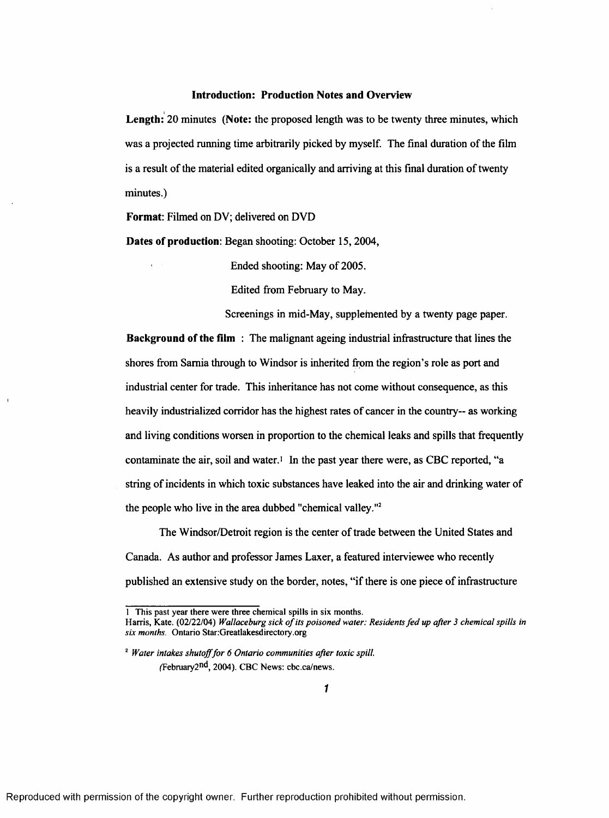### Introduction: Production Notes and Overview

Length: 20 minutes (Note: the proposed length was to be twenty three minutes, which was a projected running time arbitrarily picked by myself. The final duration of the film is a result of the material edited organically and arriving at this final duration of twenty minutes.)

Format: Filmed on DV; delivered on DVD

Dates of production: Began shooting: October 15, 2004,

Ended shooting: May of 2005.

Edited from February to May.

Screenings in mid-May, supplemented by a twenty page paper.

Background of the film : The malignant ageing industrial infrastructure that lines the shores from Sarnia through to Windsor is inherited from the region's role as port and industrial center for trade. This inheritance has not come without consequence, as this heavily industrialized corridor has the highest rates of cancer in the country— as working and living conditions worsen in proportion to the chemical leaks and spills that frequently contaminate the air, soil and water.<sup>1</sup> In the past year there were, as CBC reported, "a string of incidents in which toxic substances have leaked into the air and drinking water of the people who live in the area dubbed "chemical valley."2

The Windsor/Detroit region is the center of trade between the United States and Canada. As author and professor James Laxer, a featured interviewee who recently published an extensive study on the border, notes, "if there is one piece of infrastructure

<sup>1</sup> This past year there were three chemical spills in six months.

Harris, Kate. (02/22/04) *Wallaceburg sick of its poisoned water: Residents fed up after 3 chemical spills in six months.* Ontario Star:Greatlakesdirectory.org

<sup>2</sup> *Water intakes shutoff for 6 Ontario communities after toxic spill.*  $(Februarv2<sup>nd</sup>, 2004)$ . CBC News: cbc.ca/news.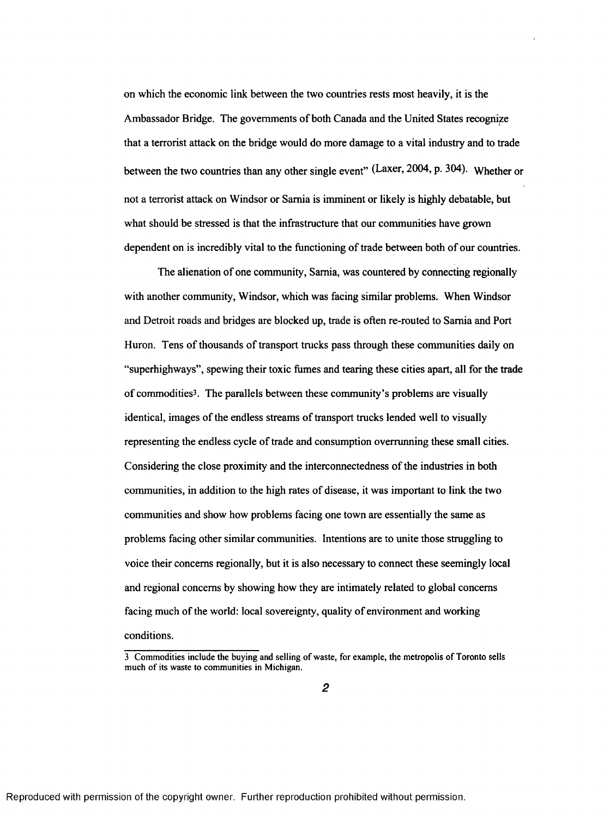on which the economic link between the two countries rests most heavily, it is the Ambassador Bridge. The governments of both Canada and the United States recognize that a terrorist attack on the bridge would do more damage to a vital industry and to trade between the two countries than any other single event" (Laxer, 2004, p. 304). Whether or not a terrorist attack on Windsor or Sarnia is imminent or likely is highly debatable, but what should be stressed is that the infrastructure that our communities have grown dependent on is incredibly vital to the functioning of trade between both of our countries.

The alienation of one community, Sarnia, was countered by connecting regionally with another community, Windsor, which was facing similar problems. When Windsor and Detroit roads and bridges are blocked up, trade is often re-routed to Sarnia and Port Huron. Tens of thousands of transport trucks pass through these communities daily on "superhighways", spewing their toxic fumes and tearing these cities apart, all for the trade of commodities3. The parallels between these community's problems are visually identical, images of the endless streams of transport trucks lended well to visually representing the endless cycle of trade and consumption overrunning these small cities. Considering the close proximity and the interconnectedness of the industries in both communities, in addition to the high rates of disease, it was important to link the two communities and show how problems facing one town are essentially the same as problems facing other similar communities. Intentions are to unite those struggling to voice their concerns regionally, but it is also necessary to connect these seemingly local and regional concerns by showing how they are intimately related to global concerns facing much of the world: local sovereignty, quality of environment and working conditions.

<sup>3</sup> Commodities include the buying and selling of waste, for example, the metropolis of Toronto sells much of its waste to communities in Michigan.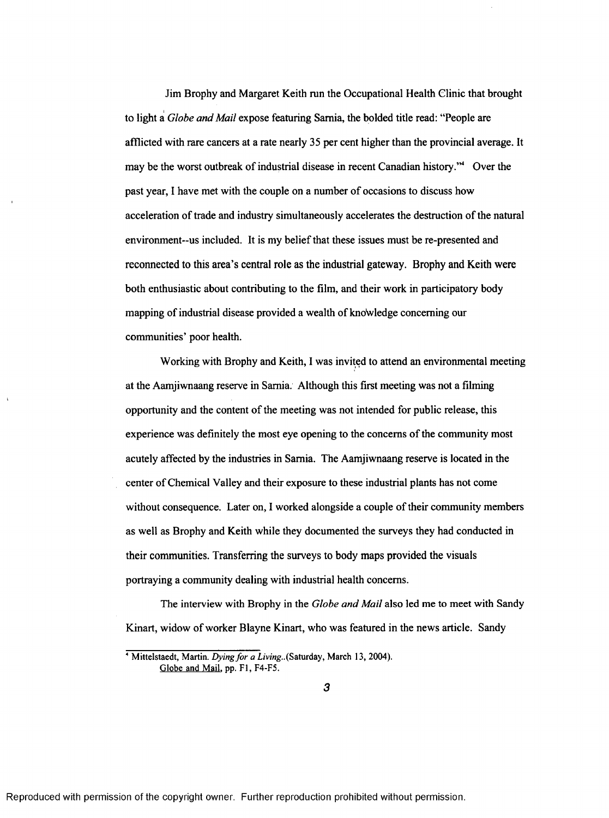Jim Brophy and Margaret Keith run the Occupational Health Clinic that brought to light a *Globe and Mail* expose featuring Sarnia, the bolded title read: "People are afflicted with rare cancers at a rate nearly 35 per cent higher than the provincial average. It may be the worst outbreak of industrial disease in recent Canadian history."4 Over the past year, I have met with the couple on a number of occasions to discuss how acceleration of trade and industry simultaneously accelerates the destruction of the natural environment--us included. It is my belief that these issues must be re-presented and reconnected to this area's central role as the industrial gateway. Brophy and Keith were both enthusiastic about contributing to the film, and their work in participatory body mapping of industrial disease provided a wealth of knowledge concerning our communities' poor health.

Working with Brophy and Keith, I was invited to attend an environmental meeting at the Aamjiwnaang reserve in Sarnia. Although this first meeting was not a filming opportunity and the content of the meeting was not intended for public release, this experience was definitely the most eye opening to the concerns of the community most acutely affected by the industries in Sarnia. The Aamjiwnaang reserve is located in the center of Chemical Valley and their exposure to these industrial plants has not come without consequence. Later on, I worked alongside a couple of their community members as well as Brophy and Keith while they documented the surveys they had conducted in their communities. Transferring the surveys to body maps provided the visuals portraying a community dealing with industrial health concerns.

The interview with Brophy in the *Globe and Mail* also led me to meet with Sandy Kinart, widow of worker Blayne Kinart, who was featured in the news article. Sandy

<sup>&</sup>lt;sup>4</sup> Mittelstaedt, Martin. *Dying for a Living.*.(Saturday, March 13, 2004). Globe and Mail, pp. F1, F4-F5.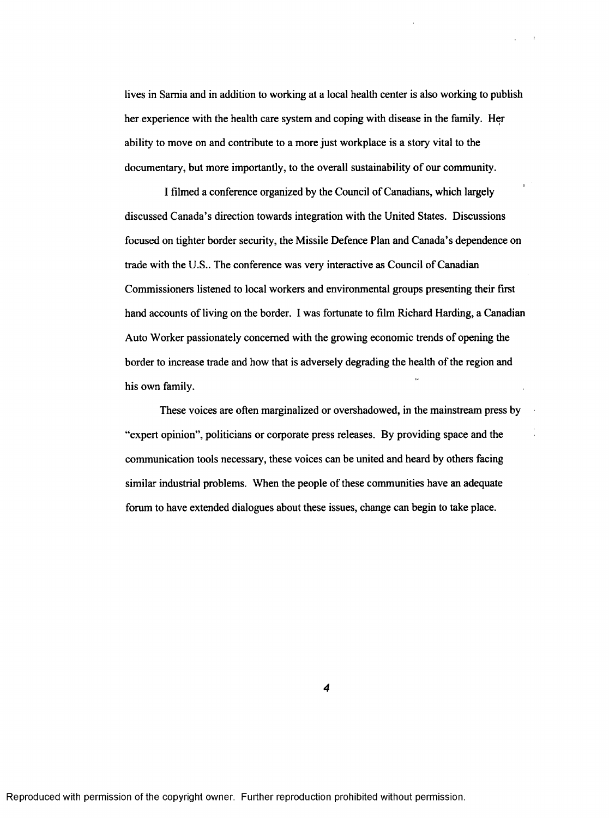lives in Sarnia and in addition to working at a local health center is also working to publish her experience with the health care system and coping with disease in the family. Her ability to move on and contribute to a more just workplace is a story vital to the documentary, but more importantly, to the overall sustainability of our community.

I filmed a conference organized by the Council of Canadians, which largely discussed Canada's direction towards integration with the United States. Discussions focused on tighter border security, the Missile Defence Plan and Canada's dependence on trade with the U.S.. The conference was very interactive as Council of Canadian Commissioners listened to local workers and environmental groups presenting their first hand accounts of living on the border. I was fortunate to film Richard Harding, a Canadian Auto Worker passionately concerned with the growing economic trends of opening the border to increase trade and how that is adversely degrading the health of the region and his own family.

These voices are often marginalized or overshadowed, in the mainstream press by "expert opinion", politicians or corporate press releases. By providing space and the communication tools necessary, these voices can be united and heard by others facing similar industrial problems. When the people of these communities have an adequate forum to have extended dialogues about these issues, change can begin to take place.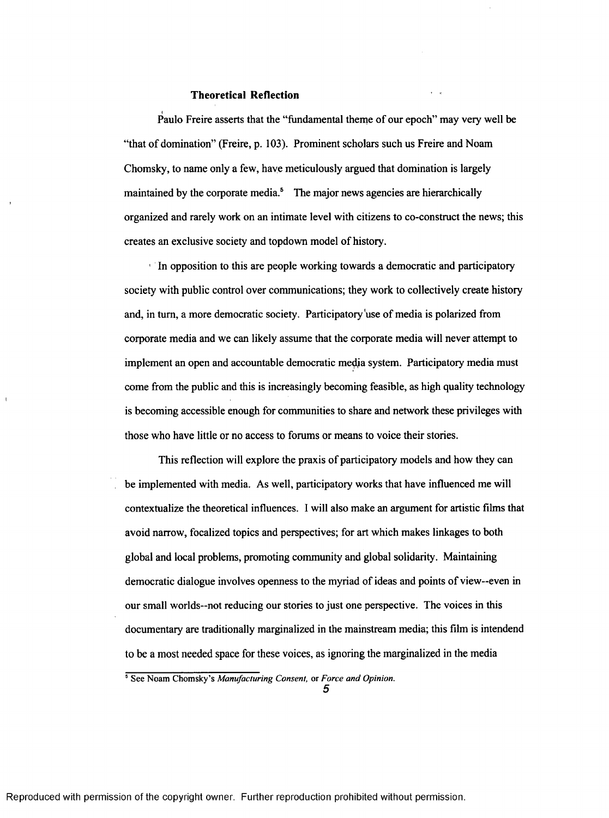### **Theoretical Reflection**

Paulo Freire asserts that the "fundamental theme of our epoch" may very well be "that of domination" (Freire, p. 103). Prominent scholars such us Freire and Noam Chomsky, to name only a few, haye meticulously argued that domination is largely maintained by the corporate media.<sup>5</sup> The major news agencies are hierarchically organized and rarely work on an intimate level with citizens to co-construct the news; this creates an exclusive society and topdown model of history.

<sup>1</sup> In opposition to this are people working towards a democratic and participatory society with public control over communications; they work to collectively create history and, in turn, a more democratic society. Participatory use of media is polarized from corporate media and we can likely assume that the corporate media will never attempt to implement an open and accountable democratic medja system. Participatory media must come from the public and this is increasingly becoming feasible, as high quality technology is becoming accessible enough for communities to share and network these privileges with those who have little or no access to forums or means to voice their stories.

This reflection will explore the praxis of participatory models and how they can be implemented with media. As well, participatory works that have influenced me will contextualize the theoretical influences. 1 will also make an argument for artistic films that avoid narrow, focalized topics and perspectives; for art which makes linkages to both global and local problems, promoting community and global solidarity. Maintaining democratic dialogue involves openness to the myriad of ideas and points of view—even in our small worlds—not reducing our stories to just one perspective. The voices in this documentary are traditionally marginalized in the mainstream media; this film is intendend to be a most needed space for these voices, as ignoring the marginalized in the media

<sup>5</sup> See Noam Chomsky's *Manufacturing Consent,* or *Force and Opinion.*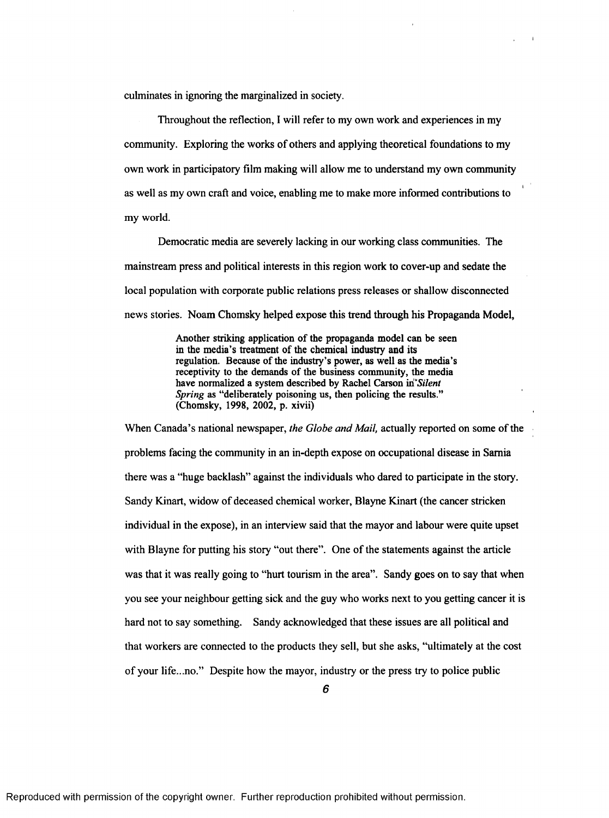culminates in ignoring the marginalized in society.

Throughout the reflection, I will refer to my own work and experiences in my community. Exploring the works of others and applying theoretical foundations to my own work in participatory film making will allow me to understand my own community as well as my own craft and voice, enabling me to make more informed contributions to my world.

**I**

Democratic media are severely lacking in our working class communities. The mainstream press and political interests in this region work to cover-up and sedate the local population with corporate public relations press releases or shallow disconnected news stories. Noam Chomsky helped expose this trend through his Propaganda Model,

> Another striking application of the propaganda model can be seen in the media's treatment of the chemical industry and its regulation. Because of the industry's power, as well as the media's receptivity to the demands of the business community, the media have normalized a system described by Rachel Carson *m "Silent Spring* as "deliberately poisoning us, then policing the results." (Chomsky, 1998, 2002, p. xivii)

When Canada's national newspaper, *the Globe and Mail,* actually reported on some of the problems facing the community in an in-depth expose on occupational disease in Sarnia there was a "huge backlash" against the individuals who dared to participate in the story. Sandy Kinart, widow of deceased chemical worker, Blayne Kinart (the cancer stricken individual in the expose), in an interview said that the mayor and labour were quite upset with Blayne for putting his story "out there". One of the statements against the article was that it was really going to "hurt tourism in the area". Sandy goes on to say that when you see your neighbour getting sick and the guy who works next to you getting cancer it is hard not to say something. Sandy acknowledged that these issues are all political and that workers are connected to the products they sell, but she asks, "ultimately at the cost of your life...no." Despite how the mayor, industry or the press try to police public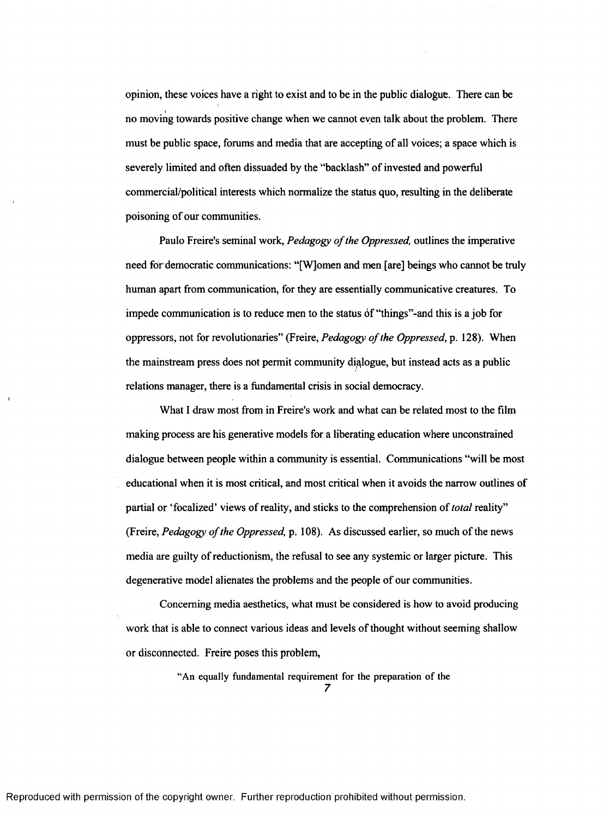opinion, these voices have a right to exist and to be in the public dialogue. There can be **I** no moving towards positive change when we cannot even talk about the problem. There must be public space, forums and media that are accepting of all voices; a space which is severely limited and often dissuaded by the "backlash" of invested and powerful commercial/political interests which normalize the status quo, resulting in the deliberate poisoning of our communities.

Paulo Freire's seminal work, *Pedagogy of the Oppressed*, outlines the imperative need for democratic communications: "[W]omen and men [are] beings who cannot be truly human apart from communication, for they are essentially communicative creatures. To impede communication is to reduce men to the status 6f "things"-and this is a job for oppressors, not for revolutionaries" (Freire, *Pedagogy o f the Oppressed,* p. 128). When the mainstream press does not permit community dialogue, but instead acts as a public relations manager, there is a fundamental crisis in social democracy.

What I draw most from in Freire's work and what can be related most to the film making process are his generative models for a liberating education where unconstrained dialogue between people within a community is essential. Communications "will be most educational when it is most critical, and most critical when it avoids the narrow outlines of partial or 'focalized' views of reality, and sticks to the comprehension of *total* reality" (Freire, *Pedagogy o f the Oppressed,* p. 108). As discussed earlier, so much of the news media are guilty of reductionism, the refusal to see any systemic or larger picture. This degenerative model alienates the problems and the people of our communities.

Concerning media aesthetics, what must be considered is how to avoid producing work that is able to connect various ideas and levels of thought without seeming shallow or disconnected. Freire poses this problem,

> "An equally fundamental requirement for the preparation of the *7*

Reproduced with permission of the copyright owner. Further reproduction prohibited without permission.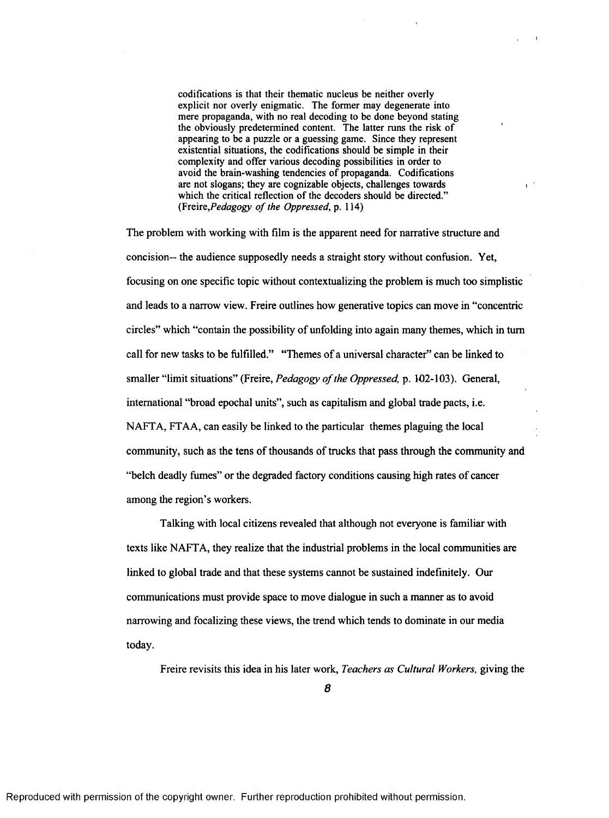codifications is that their thematic nucleus be neither overly explicit nor overly enigmatic. The former may degenerate into mere propaganda, with no real decoding to be done beyond stating the obviously predetermined content. The latter runs the risk of appearing to be a puzzle or a guessing game. Since they represent existential situations, the codifications should be simple in their complexity and offer various decoding possibilities in order to avoid the brain-washing tendencies of propaganda. Codifications are not slogans; they are cognizable objects, challenges towards which the critical reflection of the decoders should be directed." (Freire, *Pedagogy of the Oppressed*, p. 114)

 $\mathbf{r}^{(1)}$ 

The problem with working with film is the apparent need for narrative structure and concision— the audience supposedly needs a straight story without confusion. Yet, focusing on one specific topic without contextualizing the problem is much too simplistic and leads to a narrow view. Freire outlines how generative topics can move in "concentric circles" which "contain the possibility of unfolding into again many themes, which in turn call for new tasks to be fulfilled." "Themes of a universal character" can be linked to smaller "limit situations" (Freire, *Pedagogy o f the Oppressed,* p. 102-103). General, international "broad epochal units", such as capitalism and global trade pacts, i.e. NAFTA, FTAA, can easily be linked to the particular themes plaguing the local community, such as the tens of thousands of trucks that pass through the community and "belch deadly fumes" or the degraded factory conditions causing high rates of cancer among the region's workers.

Talking with local citizens revealed that although not everyone is familiar with texts like NAFTA, they realize that the industrial problems in the local communities are linked to global trade and that these systems cannot be sustained indefinitely. Our communications must provide space to move dialogue in such a manner as to avoid narrowing and focalizing these views, the trend which tends to dominate in our media today.

Freire revisits this idea in his later work, *Teachers as Cultural Workers,* giving the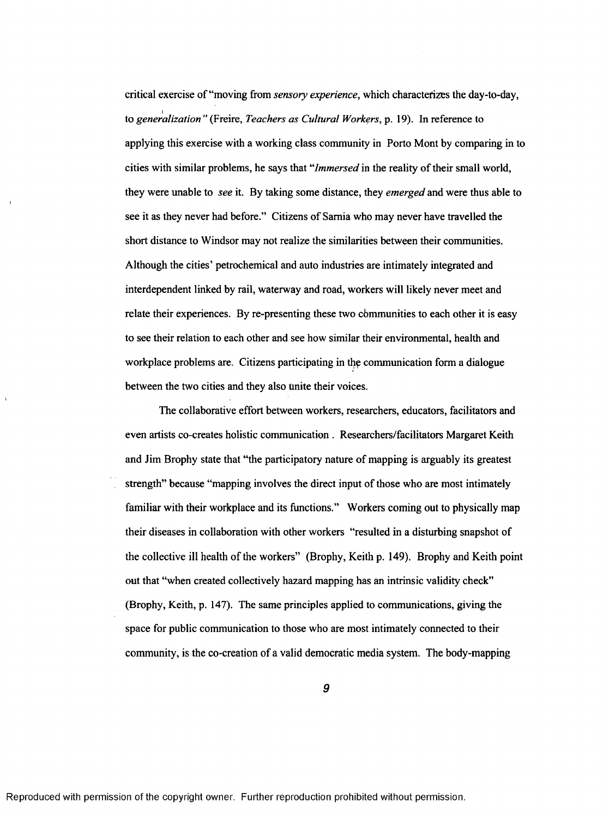critical exercise of "moving from *sensory experience,* which characterizes the day-to-day, **I** to *generalization* " (Freire, *Teachers as Cultural Workers,* p. 19). In reference to applying this exercise with a working class community in Porto Mont by comparing in to cities with similar problems, he says that *"Immersed* in the reality of their small world, they were unable to *see* it. By taking some distance, they *emerged* and were thus able to see it as they never had before." Citizens of Sarnia who may never have travelled the short distance to Windsor may not realize the similarities between their communities. Although the cities' petrochemical and auto industries are intimately integrated and interdependent linked by rail, waterway and road, workers will likely never meet and relate their experiences. By re-presenting these two cbmmunities to each other it is easy to see their relation to each other and see how similar their environmental, health and workplace problems are. Citizens participating in the communication form a dialogue between the two cities and they also unite their voices.

The collaborative effort between workers, researchers, educators, facilitators and even artists co-creates holistic communication . Researchers/facilitators Margaret Keith and Jim Brophy state that "the participatory nature of mapping is arguably its greatest strength" because "mapping involves the direct input of those who are most intimately familiar with their workplace and its functions." Workers coming out to physically map their diseases in collaboration with other workers "resulted in a disturbing snapshot of the collective ill health of the workers" (Brophy, Keith p. 149). Brophy and Keith point out that "when created collectively hazard mapping has an intrinsic validity check" (Brophy, Keith, p. 147). The same principles applied to communications, giving the space for public communication to those who are most intimately connected to their community, is the co-creation of a valid democratic media system. The body-mapping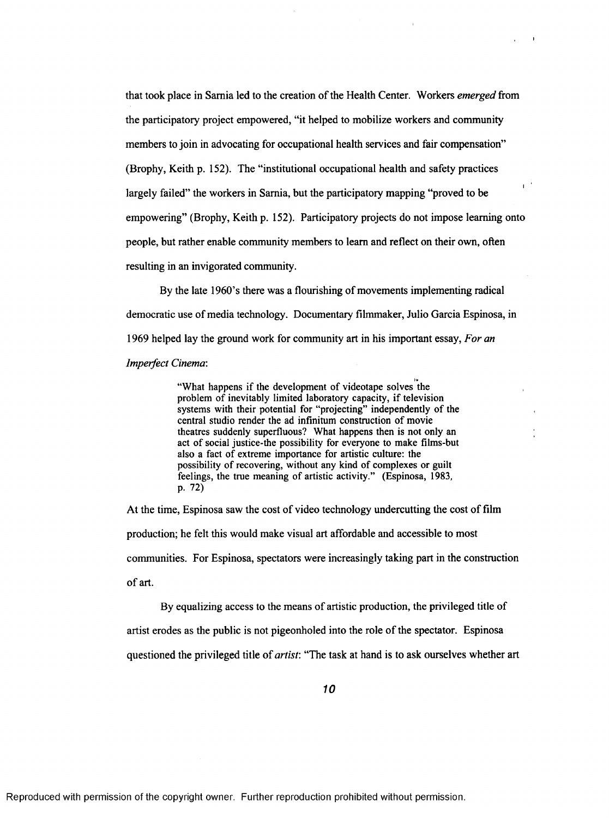that took place in Sarnia led to the creation of the Health Center. Workers *emerged* from the participatory project empowered, "it helped to mobilize workers and community members to join in advocating for occupational health services and fair compensation" (Brophy, Keith p. 152). The "institutional occupational health and safety practices **I** largely failed" the workers in Sarnia, but the participatory mapping "proved to be empowering" (Brophy, Keith p. 152). Participatory projects do not impose learning onto people, but rather enable community members to learn and reflect on their own, often resulting in an invigorated community.

 $\mathbf{I}$ 

By the late 1960's there was a flourishing of movements implementing radical democratic use of media technology. Documentary filmmaker, Julio Garcia Espinosa, in 1969 helped lay the ground work for community art in his important essay, *For an Imperfect Cinema:*

> "What happens if the development of videotape solves the problem of inevitably limited laboratory capacity, if television systems with their potential for "projecting" independently of the central studio render the ad infinitum construction of movie theatres suddenly superfluous? What happens then is not only an act of social justice-the possibility for everyone to make films-but also a fact of extreme importance for artistic culture: the possibility of recovering, without any kind of complexes or guilt feelings, the true meaning of artistic activity." (Espinosa, 1983, p. 72)

At the time, Espinosa saw the cost of video technology undercutting the cost of film production; he felt this would make visual art affordable and accessible to most communities. For Espinosa, spectators were increasingly taking part in the construction of art.

By equalizing access to the means of artistic production, the privileged title of artist erodes as the public is not pigeonholed into the role of the spectator. Espinosa questioned the privileged title of *artist:* "The task at hand is to ask ourselves whether art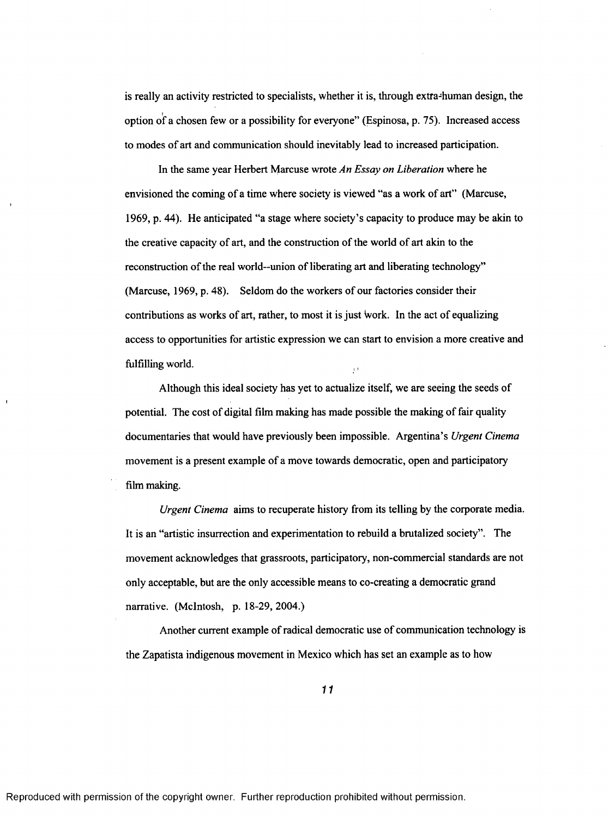is really an activity restricted to specialists, whether it is, through extra-human design, the **I** option of a chosen few or a possibility for everyone" (Espinosa, p. 75). Increased access to modes of art and communication should inevitably lead to increased participation.

In the same year Herbert Marcuse wrote *An Essay on Liberation* where he envisioned the coming of a time where society is viewed "as a work of art" (Marcuse, 1969, p. 44). He anticipated "a stage where society's capacity to produce may be akin to the creative capacity of art, and the construction of the world of art akin to the reconstruction of the real world--union of liberating art and liberating technology" (Marcuse, 1969, p. 48). Seldom do the workers of our factories consider their contributions as works of art, rather, to most it is just Work. In the act of equalizing access to opportunities for artistic expression we can start to envision a more creative and fulfilling world.

Although this ideal society has yet to actualize itself, we are seeing the seeds of potential. The cost of digital film making has made possible the making of fair quality documentaries that would have previously been impossible. Argentina's *Urgent Cinema* movement is a present example of a move towards democratic, open and participatory film making.

*Urgent Cinema* aims to recuperate history from its telling by the corporate media. It is an "artistic insurrection and experimentation to rebuild a brutalized society". The movement acknowledges that grassroots, participatory, non-commercial standards are not only acceptable, but are the only accessible means to co-creating a democratic grand narrative. (McIntosh, p. 18-29, 2004.)

Another current example of radical democratic use of communication technology is the Zapatista indigenous movement in Mexico which has set an example as to how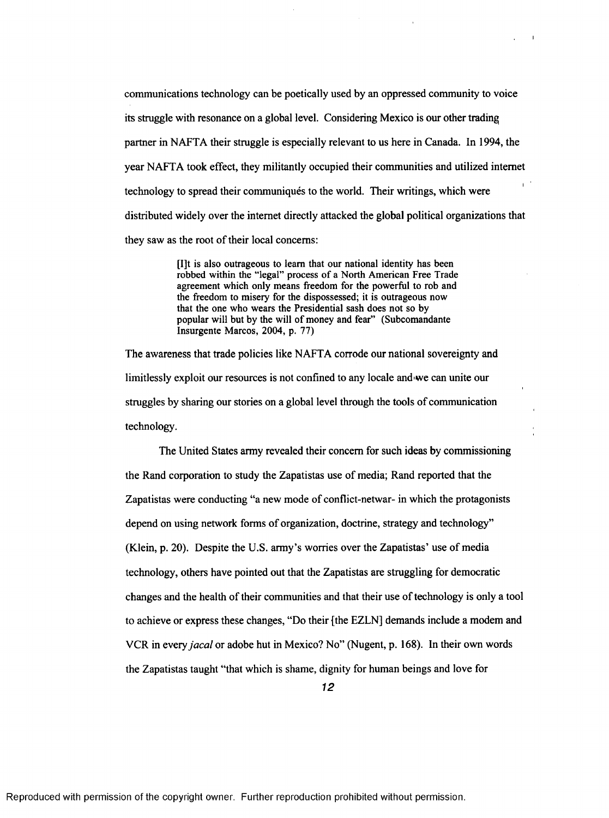communications technology can be poetically used by an oppressed community to voice its struggle with resonance on a global level. Considering Mexico is our other trading partner in NAFTA their struggle is especially relevant to us here in Canada. In 1994, the year NAFTA took effect, they militantly occupied their communities and utilized internet technology to spread their communiques to the world. Their writings, which were distributed widely over the internet directly attacked the global political organizations that they saw as the root of their local concerns:

 $\mathbf{I}$ 

[I]t is also outrageous to leam that our national identity has been robbed within the "legal" process of a North American Free Trade agreement which only means freedom for the powerful to rob and the freedom to misery for the dispossessed; it is outrageous now that the one who wears the Presidential sash does not so by popular will but by the will of money and fear" (Subcomandante Insurgente Marcos, 2004, p. 77)

The awareness that trade policies like NAFTA corrode our national sovereignty and limitlessly exploit our resources is not confined to any locale and'we can unite our struggles by sharing our stories on a global level through the tools of communication technology.

The United States army revealed their concern for such ideas by commissioning the Rand corporation to study the Zapatistas use of media; Rand reported that the Zapatistas were conducting "a new mode of conflict-netwar- in which the protagonists depend on using network forms of organization, doctrine, strategy and technology" (Klein, p. 20). Despite the U.S. army's worries over the Zapatistas' use of media technology, others have pointed out that the Zapatistas are struggling for democratic changes and the health of their communities and that their use of technology is only a tool to achieve or express these changes, "Do their {the EZLN] demands include a modem and VCR in every *jacal* or adobe hut in Mexico? No" (Nugent, p. 168). In their own words the Zapatistas taught "that which is shame, dignity for human beings and love for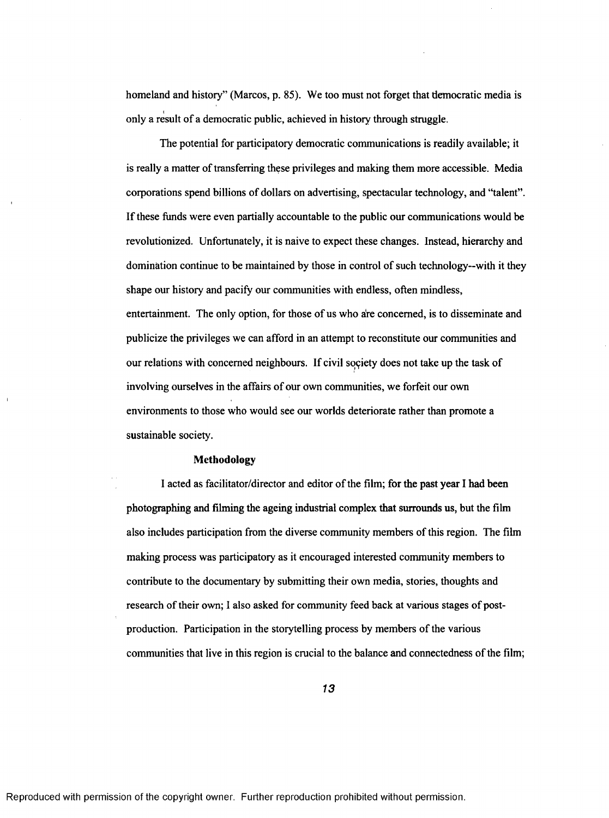homeland and history" (Marcos, p. 85). We too must not forget that democratic media is **I** only a result of a democratic public, achieved in history through struggle.

The potential for participatory democratic communications is readily available; it is really a matter of transferring these privileges and making them more accessible. Media corporations spend billions of dollars on advertising, spectacular technology, and "talent". If these funds were even partially accountable to the public our communications would be revolutionized. Unfortunately, it is naive to expect these changes. Instead, hierarchy and domination continue to be maintained by those in control of such technology--with it they shape our history and pacify our communities with endless, often mindless, entertainment. The only option, for those of us who are concerned, is to disseminate and publicize the privileges we can afford in an attempt to reconstitute our communities and our relations with concerned neighbours. If civil society does not take up the task of involving ourselves in the affairs of our own communities, we forfeit our own environments to those who would see our worlds deteriorate rather than promote a sustainable society.

### Methodology

<span id="page-19-0"></span>I acted as facilitator/director and editor of the film; for the past year I had been photographing and filming the ageing industrial complex that surrounds us, but the film also includes participation from the diverse community members of this region. The film making process was participatory as it encouraged interested community members to contribute to the documentary by submitting their own media, stories, thoughts and research of their own; I also asked for community feed back at various stages of postproduction. Participation in the storytelling process by members of the various communities that live in this region is crucial to the balance and connectedness of the film;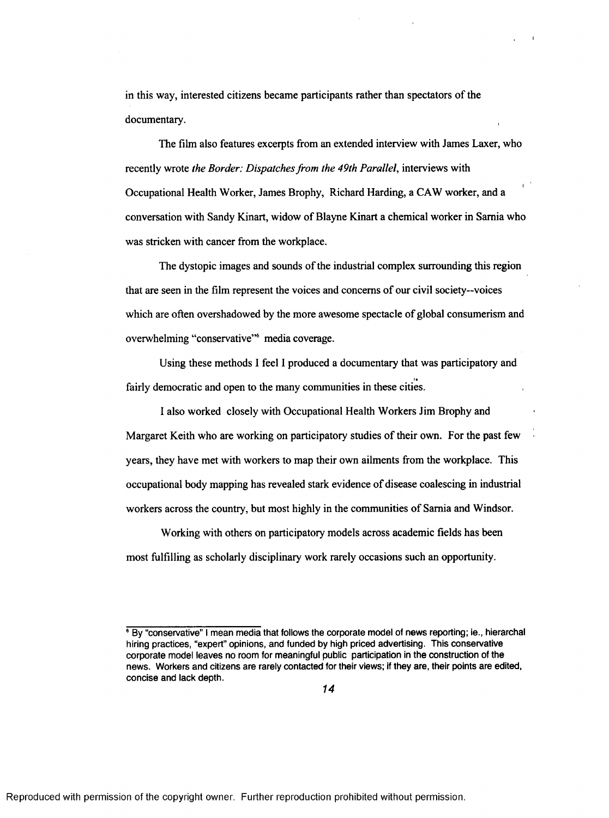in this way, interested citizens became participants rather than spectators of the documentary.

The film also features excerpts from an extended interview with James Laxer, who recently wrote *the Border: Dispatches from the 49th Parallel,* interviews with **I** Occupational Health Worker, James Brophy, Richard Harding, a CAW worker, and a conversation with Sandy Kinart, widow of Blayne Kinart a chemical worker in Sarnia who was stricken with cancer from the workplace.

The dystopic images and sounds of the industrial complex surrounding this region that are seen in the film represent the voices and concerns of our civil society—voices which are often overshadowed by the more awesome spectacle of global consumerism and overwhelming "conservative"<sup>6</sup> media coverage.

Using these methods I feel I produced a documentary that was participatory and fairly democratic and open to the many communities in these cities.

I also worked closely with Occupational Health Workers Jim Brophy and Margaret Keith who are working on participatory studies of their own. For the past few years, they have met with workers to map their own ailments from the workplace. This occupational body mapping has revealed stark evidence of disease coalescing in industrial workers across the country, but most highly in the communities of Sarnia and Windsor.

Working with others on participatory models across academic fields has been most fulfilling as scholarly disciplinary work rarely occasions such an opportunity.

<sup>6</sup> **By "conservative" I mean media that follows the corporate model of news reporting; ie., hierarchal hiring practices, "expert" opinions, and funded by high priced advertising. This conservative corporate model leaves no room for meaningful public participation in the construction of the news. Workers and citizens are rarely contacted for their views; if they are, their points are edited, concise and lack depth.**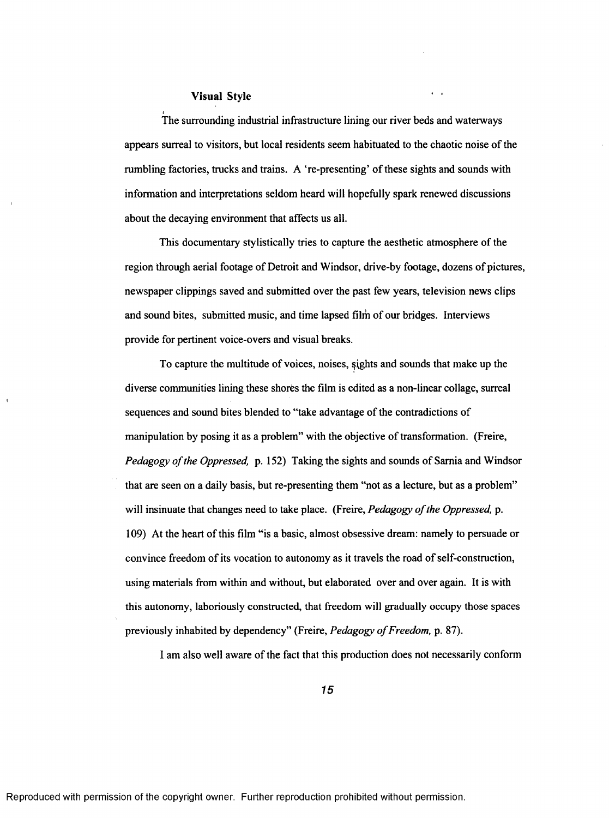### Visual Style

The surrounding industrial infrastructure lining our river beds and waterways appears surreal to visitors, but local residents seem habituated to the chaotic noise of the rumbling factories, trucks and trains. A 're-presenting' of these sights and sounds with information and interpretations seldom heard will hopefully spark renewed discussions about the decaying environment that affects us all.

This documentary stylistically tries to capture the aesthetic atmosphere of the region through aerial footage of Detroit and Windsor, drive-by footage, dozens of pictures, newspaper clippings saved and submitted over the past few years, television news clips and sound bites, submitted music, and time lapsed film of our bridges. Interviews provide for pertinent voice-overs and visual breaks.

To capture the multitude of voices, noises, fights and sounds that make up the diverse communities lining these shores the film is edited as a non-linear collage, surreal sequences and sound bites blended to "take advantage of the contradictions of manipulation by posing it as a problem" with the objective of transformation. (Freire, *Pedagogy of the Oppressed,* p. 152) Taking the sights and sounds of Sarnia and Windsor that are seen on a daily basis, but re-presenting them "not as a lecture, but as a problem" will insinuate that changes need to take place. (Freire, *Pedagogy of the Oppressed*, p. 109) At the heart of this film "is a basic, almost obsessive dream: namely to persuade or convince freedom of its vocation to autonomy as it travels the road of self-construction, using materials from within and without, but elaborated over and over again. It is with this autonomy, laboriously constructed, that freedom will gradually occupy those spaces previously inhabited by dependency" (Freire, Pedagogy of Freedom, p. 87).

I am also well aware of the fact that this production does not necessarily conform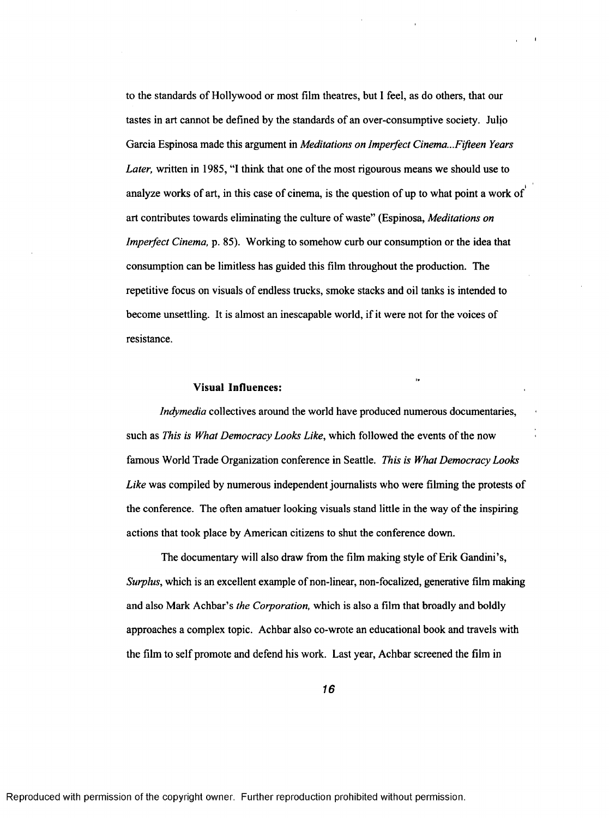to the standards of Hollywood or most film theatres, but I feel, as do others, that our tastes in art cannot be defined by the standards of an over-consumptive society. Juljo Garcia Espinosa made this argument in *Meditations on Imperfect Cinema...Fifteen Years Later,* written in 1985, "I think that one of the most rigourous means we should use to **I** analyze works of art, in this case of cinema, is the question of up to what point a work of art contributes towards eliminating the culture of waste" (Espinosa, *Meditations on Imperfect Cinema*, p. 85). Working to somehow curb our consumption or the idea that consumption can be limitless has guided this film throughout the production. The repetitive focus on visuals of endless trucks, smoke stacks and oil tanks is intended to become unsettling. It is almost an inescapable world, if it were not for the voices of resistance.

#### Visual Influences:

<span id="page-22-0"></span>*Indymedia* collectives around the world have produced numerous documentaries, such as *This is What Democracy Looks Like,* which followed the events of the now famous World Trade Organization conference in Seattle. *This is What Democracy Looks Like* was compiled by numerous independent journalists who were filming the protests of the conference. The often amatuer looking visuals stand little in the way of the inspiring actions that took place by American citizens to shut the conference down.

The documentary will also draw from the film making style of Erik Gandini's, *Surplus,* which is an excellent example of non-linear, non-focalized, generative film making and also Mark Achbar's *the Corporation,* which is also a film that broadly and boldly approaches a complex topic. Achbar also co-wrote an educational book and travels with the film to self promote and defend his work. Last year, Achbar screened the film in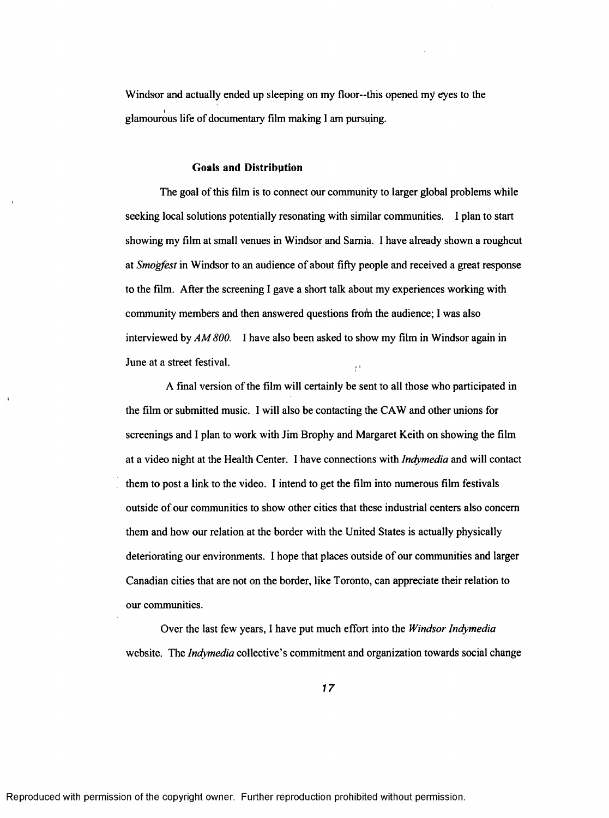<span id="page-23-0"></span>Windsor and actually ended up sleeping on my floor—this opened my eyes to the **I** glamourous life of documentary film making I am pursuing.

#### **Goals and Distribution**

The goal of this film is to connect our community to larger global problems while seeking local solutions potentially resonating with similar communities. I plan to start showing my film at small venues in Windsor and Samia. I have already shown a roughcut at *Smogfest* in Windsor to an audience of about fifty people and received a great response to the film. After the screening I gave a short talk about my experiences working with community members and then answered questions from the audience; I was also interviewed by *AM 800.* 1 have also been asked to show my film in Windsor again in June at a street festival.

A final version of the film will certainly be sent to all those who participated in the film or submitted music. I will also be contacting the CAW and other unions for screenings and I plan to work with Jim Brophy and Margaret Keith on showing the film at a video night at the Health Center. I have connections with *lndymedia* and will contact them to post a link to the video. I intend to get the film into numerous film festivals outside of our communities to show other cities that these industrial centers also concern them and how our relation at the border with the United States is actually physically deteriorating our environments. I hope that places outside of our communities and larger Canadian cities that are not on the border, like Toronto, can appreciate their relation to our communities.

Over the last few years, I have put much effort into the *Windsor lndymedia* website. The *lndymedia* collective's commitment and organization towards social change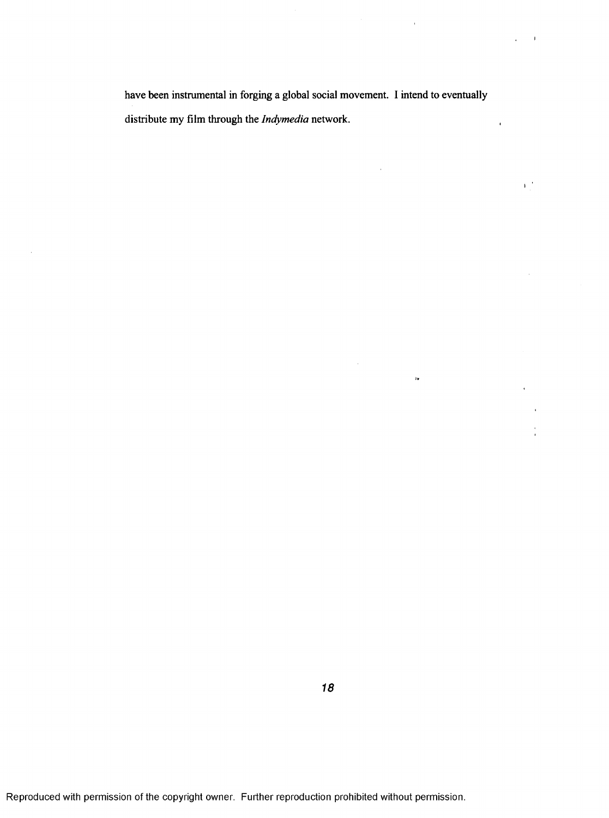have been instrumental in forging a global social movement. I intend to eventually distribute my film through the *lndymedia* network.

 $\alpha$ 

 $\bar{z}$ 

 $\bar{\bar{z}}$ 

 $\sim 10$ 

 $\chi^2 \gg 1$ 

 $\mathbf{E}^{\mathcal{A}}_{\mathcal{A}}$ 

 $\bar{\rm s}$ 

 $\bar{\star}$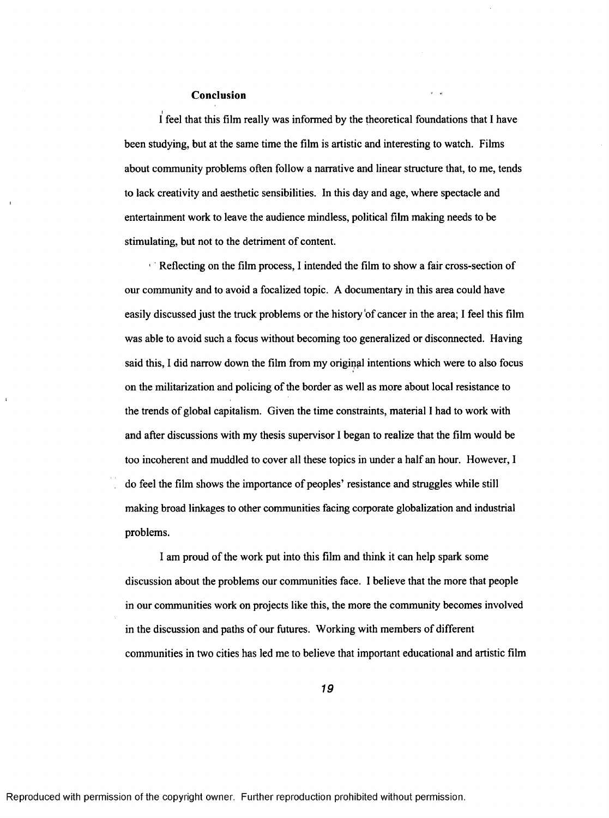### Conclusion

l I feel that this film really was informed by the theoretical foundations that 1 have been studying, but at the same time the film is artistic and interesting to watch. Films about community problems often follow a narrative and linear structure that, to me, tends to lack creativity and aesthetic sensibilities. In this day and age, where spectacle and entertainment work to leave the audience mindless, political film making needs to be stimulating, but not to the detriment of content.

 $\blacksquare$  Reflecting on the film process, I intended the film to show a fair cross-section of our community and to avoid a focalized topic. A documentary in this area could have easily discussed just the truck problems or the history 'of cancer in the area; I feel this film was able to avoid such a focus without becoming too generalized or disconnected. Having said this, I did narrow down the film from my original intentions which were to also focus on the militarization and policing of the border as well as more about local resistance to the trends of global capitalism. Given the time constraints, material I had to work with and after discussions with my thesis supervisor I began to realize that the film would be too incoherent and muddled to cover all these topics in under a half an hour. However, I do feel the film shows the importance of peoples' resistance and struggles while still making broad linkages to other communities facing corporate globalization and industrial problems.

I am proud of the work put into this film and think it can help spark some discussion about the problems our communities face. I believe that the more that people in our communities work on projects like this, the more the community becomes involved in the discussion and paths of our futures. Working with members of different communities in two cities has led me to believe that important educational and artistic film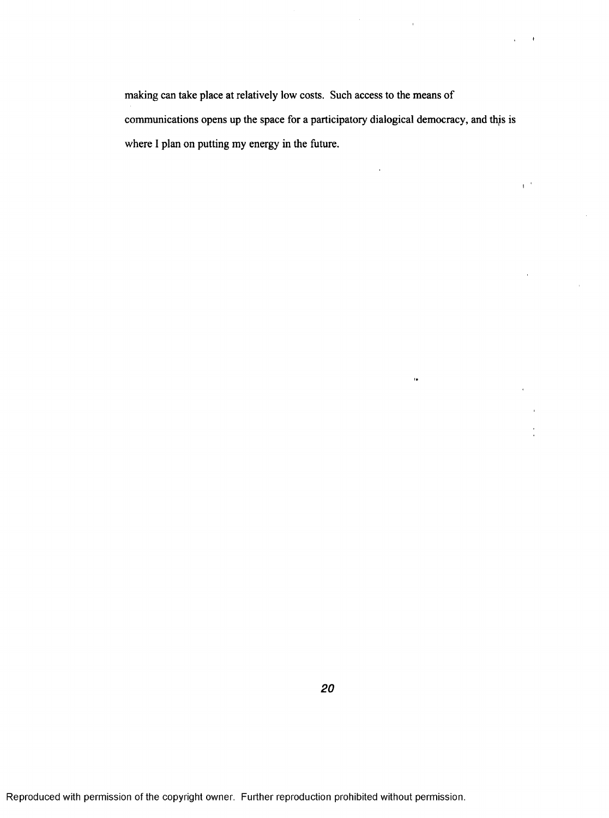making can take place at relatively low costs. Such access to the means of communications opens up the space for a participatory dialogical democracy, and this i where I plan on putting my energy in the future.

 $\alpha_{\rm{max}}$  and  $\alpha_{\rm{max}}$ 

l,

 $\overline{1}$ 

 $\tilde{\mathbf{u}}$ 

 $\sim$   $\epsilon$  $\mathbf{r}^{\prime}$ 

 $\mathbf{t}^{(0)}$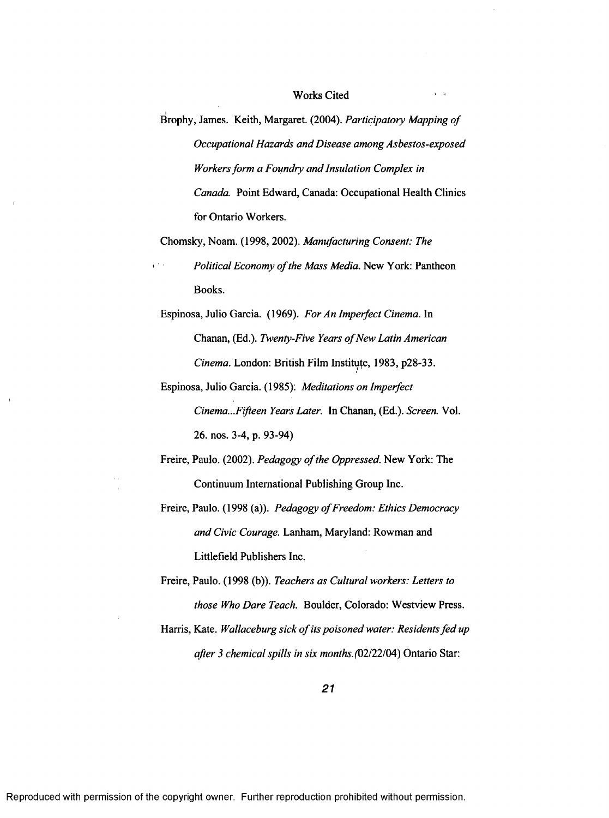### Works Cited

l Brophy, James. Keith, Margaret. (2004). *Participatory Mapping of Occupational Hazards and Disease among Asbestos-exposed Workers form a Foundry and Insulation Complex in Canada.* Point Edward, Canada: Occupational Health Clinics for Ontario Workers.

Chomsky, Noam. (1998, 2002). *Manufacturing Consent: The*

*Political Economy of the Mass Media.* New York: Pantheon Books.

Espinosa, Julio Garcia. (1969). *For An Imperfect Cinema.* In Chanan, (Ed.). *Twenty-Five Years of New Latin American Cinema.* London: British Film Institute, 1983, p28-33.

- Espinosa, Julio Garcia. (1985): *Meditations on Imperfect Cinema...Fifteen Years Later.* In Chanan, (Ed.). *Screen.* Vol. 26. nos. 3-4, p. 93-94)
- Freire, Paulo. (2002). *Pedagogy of the Oppressed*. New York: The Continuum International Publishing Group Inc.
- Freire, Paulo. (1998 (a)). *Pedagogy of Freedom: Ethics Democracy and Civic Courage.* Lanham, Maryland: Rowman and Littlefield Publishers Inc.
- Freire, Paulo. (1998 (b)). *Teachers as Cultural workers: Letters to those Who Dare Teach.* Boulder, Colorado: Westview Press.
- Harris, Kate. *Wallaceburg sick of its poisoned water: Residents fed up after 3 chemical spills in six months.* (02/22/04) Ontario Star: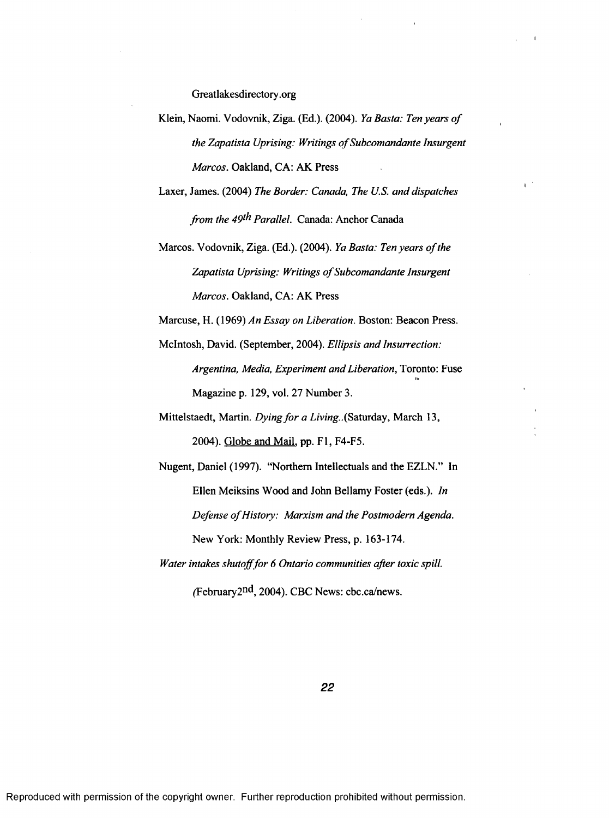Greatlakesdirectory.org

- Klein, Naomi. Vodovnik, Ziga. (Ed.). (2004). *Ya Basta: Ten years of the Zapatista Uprising: Writings of Subcomandante Insurgent Marcos.* Oakland, CA: AK Press
- Laxer, James. (2004) *The Border: Canada, The U.S. and dispatches from the 49<sup>th</sup> Parallel.* Canada: Anchor Canada

 $\mathbf{r}^{(i)}$ 

Marcos. Vodovnik, Ziga. (Ed.). (2004). *Ya Basta: Ten years of the* Zapatista Uprising: Writings of Subcomandante Insurgent *Marcos.* Oakland, CA: AK Press

Marcuse, H. (1969) *An Essay on Liberation.* Boston: Beacon Press.

McIntosh, David. (September, 2004). *Ellipsis and Insurrection: Argentina, Media, Experiment and Liberation,* Toronto: Fuse Magazine p. 129, vol. 27 Number 3.

Mittelstaedt, Martin. *Dying for a Living.*. (Saturday, March 13, 2004). Globe and Mail, pp. FI, F4-F5.

Nugent, Daniel (1997). "Northern Intellectuals and the EZLN." In Ellen Meiksins Wood and John Bellamy Foster (eds.). *In Defense of History: Marxism and the Postmodern Agenda.* New York: Monthly Review Press, p. 163-174.

*Water intakes shutoff for 6 Ontario communities after toxic spill.*

(February2<sup>nd</sup>, 2004). CBC News: cbc.ca/news.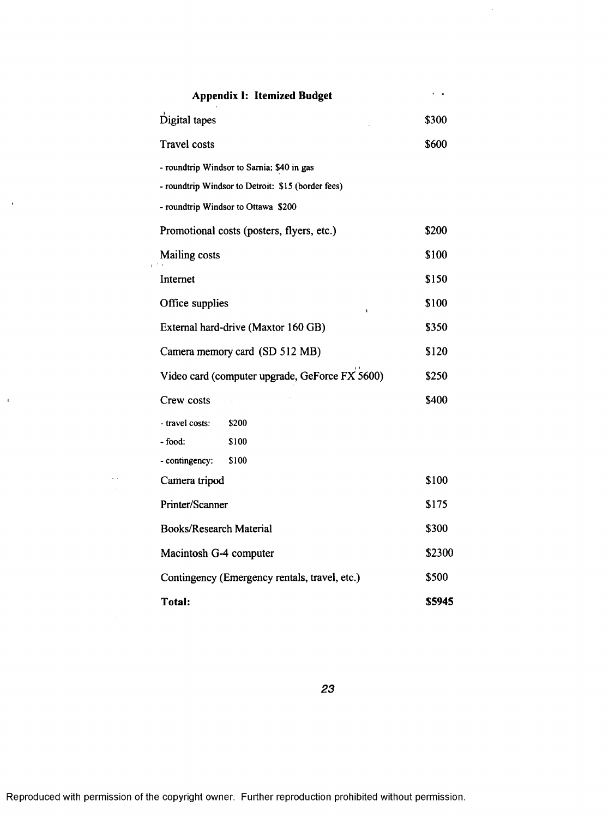| <b>Appendix I: Itemized Budget</b>                 | $\epsilon = 0$ |
|----------------------------------------------------|----------------|
| Digital tapes                                      | \$300          |
| <b>Travel costs</b>                                | \$600          |
| - roundtrip Windsor to Sarnia: \$40 in gas         |                |
| - roundtrip Windsor to Detroit: \$15 (border fees) |                |
| - roundtrip Windsor to Ottawa \$200                |                |
| Promotional costs (posters, flyers, etc.)          | \$200          |
| Mailing costs                                      | \$100          |
| Internet                                           | \$150          |
| Office supplies                                    | \$100          |
| External hard-drive (Maxtor 160 GB)                | \$350          |
| Camera memory card (SD 512 MB)                     | \$120          |
| Video card (computer upgrade, GeForce FX 5600)     | \$250          |
| Crew costs                                         | \$400          |
| - travel costs:<br>\$200                           |                |
| - food:<br>\$100                                   |                |
| - contingency:<br>\$100                            |                |
| Camera tripod                                      | \$100          |
| Printer/Scanner                                    | \$175          |
| <b>Books/Research Material</b>                     | \$300          |
| Macintosh G-4 computer                             | \$2300         |
| Contingency (Emergency rentals, travel, etc.)      | \$500          |
| Total:                                             | \$5945         |

 $\sim$ 

 $\bar{A}$ 

 $\frac{1}{\sqrt{2}}$ 

 $\sim 10^7$ 

 $\hat{\mathcal{A}}$